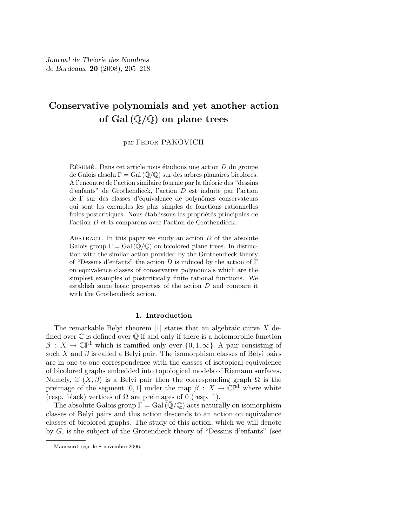# Conservative polynomials and yet another action of Gal $(\overline{\mathbb{Q}}/\mathbb{Q})$  on plane trees

## par Fedor PAKOVICH

RÉSUMÉ. Dans cet article nous étudions une action  $D$  du groupe de Galois absolu  $\Gamma = \text{Gal}(\overline{\mathbb{Q}}/\mathbb{Q})$  sur des arbres planaires bicolores. A l'encontre de l'action similaire fournie par la théorie des "dessins" d'enfants" de Grothendieck, l'action D est induite par l'action de  $\Gamma$  sur des classes d'équivalence de polynômes conservateurs qui sont les exemples les plus simples de fonctions rationnelles finies postcritiques. Nous établissons les propriétés principales de l'action D et la comparons avec l'action de Grothendieck.

ABSTRACT. In this paper we study an action  $D$  of the absolute Galois group  $\Gamma = \text{Gal}(\mathbb{Q}/\mathbb{Q})$  on bicolored plane trees. In distinction with the similar action provided by the Grothendieck theory of "Dessins d'enfants" the action D is induced by the action of  $\Gamma$ on equivalence classes of conservative polynomials which are the simplest examples of postcritically finite rational functions. We establish some basic properties of the action D and compare it with the Grothendieck action.

## 1. Introduction

The remarkable Belyi theorem  $[1]$  states that an algebraic curve X defined over  $\overline{\mathbb{C}}$  is defined over  $\overline{\mathbb{Q}}$  if and only if there is a holomorphic function  $\beta: X \to \mathbb{CP}^1$  which is ramified only over  $\{0, 1, \infty\}$ . A pair consisting of such X and  $\beta$  is called a Belyi pair. The isomorphism classes of Belyi pairs are in one-to-one correspondence with the classes of isotopical equivalence of bicolored graphs embedded into topological models of Riemann surfaces. Namely, if  $(X, \beta)$  is a Belyi pair then the corresponding graph  $\Omega$  is the preimage of the segment [0, 1] under the map  $\beta : X \to \mathbb{CP}^1$  where white (resp. black) vertices of  $\Omega$  are preimages of 0 (resp. 1).

The absolute Galois group  $\Gamma = \text{Gal}(\mathbb{Q}/\mathbb{Q})$  acts naturally on isomorphism classes of Belyi pairs and this action descends to an action on equivalence classes of bicolored graphs. The study of this action, which we will denote by G, is the subject of the Grotendieck theory of "Dessins d'enfants" (see

Manuscrit reçu le 8 novembre 2006.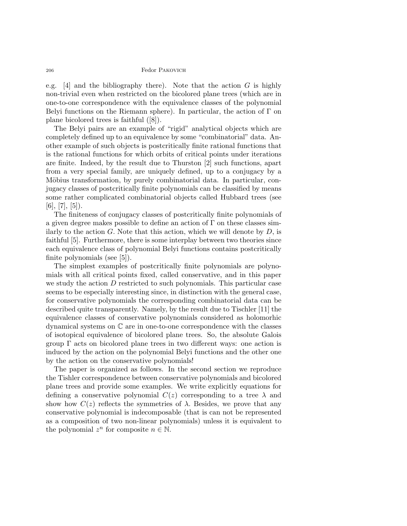e.g. [4] and the bibliography there). Note that the action  $G$  is highly non-trivial even when restricted on the bicolored plane trees (which are in one-to-one correspondence with the equivalence classes of the polynomial Belyi functions on the Riemann sphere). In particular, the action of  $\Gamma$  on plane bicolored trees is faithful ([8]).

The Belyi pairs are an example of "rigid" analytical objects which are completely defined up to an equivalence by some "combinatorial" data. Another example of such objects is postcritically finite rational functions that is the rational functions for which orbits of critical points under iterations are finite. Indeed, by the result due to Thurston [2] such functions, apart from a very special family, are uniquely defined, up to a conjugacy by a Möbius transformation, by purely combinatorial data. In particular, conjugacy classes of postcritically finite polynomials can be classified by means some rather complicated combinatorial objects called Hubbard trees (see  $[6]$ ,  $[7]$ ,  $[5]$ ).

The finiteness of conjugacy classes of postcritically finite polynomials of a given degree makes possible to define an action of  $\Gamma$  on these classes similarly to the action  $G$ . Note that this action, which we will denote by  $D$ , is faithful [5]. Furthermore, there is some interplay between two theories since each equivalence class of polynomial Belyi functions contains postcritically finite polynomials (see [5]).

The simplest examples of postcritically finite polynomials are polynomials with all critical points fixed, called conservative, and in this paper we study the action D restricted to such polynomials. This particular case seems to be especially interesting since, in distinction with the general case, for conservative polynomials the corresponding combinatorial data can be described quite transparently. Namely, by the result due to Tischler [11] the equivalence classes of conservative polynomials considered as holomorhic dynamical systems on C are in one-to-one correspondence with the classes of isotopical equivalence of bicolored plane trees. So, the absolute Galois group  $\Gamma$  acts on bicolored plane trees in two different ways: one action is induced by the action on the polynomial Belyi functions and the other one by the action on the conservative polynomials!

The paper is organized as follows. In the second section we reproduce the Tishler correspondence between conservative polynomials and bicolored plane trees and provide some examples. We write explicitly equations for defining a conservative polynomial  $C(z)$  corresponding to a tree  $\lambda$  and show how  $C(z)$  reflects the symmetries of  $\lambda$ . Besides, we prove that any conservative polynomial is indecomposable (that is can not be represented as a composition of two non-linear polynomials) unless it is equivalent to the polynomial  $z^n$  for composite  $n \in \mathbb{N}$ .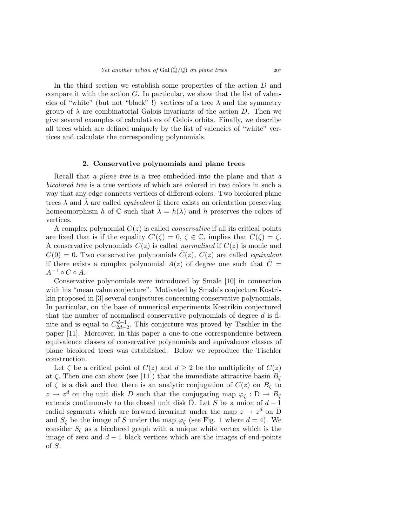In the third section we establish some properties of the action D and compare it with the action  $G$ . In particular, we show that the list of valencies of "white" (but not "black"!) vertices of a tree  $\lambda$  and the symmetry group of  $\lambda$  are combinatorial Galois invariants of the action D. Then we give several examples of calculations of Galois orbits. Finally, we describe all trees which are defined uniquely by the list of valencies of "white" vertices and calculate the corresponding polynomials.

### 2. Conservative polynomials and plane trees

Recall that a plane tree is a tree embedded into the plane and that a bicolored tree is a tree vertices of which are colored in two colors in such a way that any edge connects vertices of different colors. Two bicolored plane trees  $\lambda$  and  $\lambda$  are called *equivalent* if there exists an orientation preserving homeomorphism h of  $\mathbb C$  such that  $\lambda = h(\lambda)$  and h preserves the colors of vertices.

A complex polynomial  $C(z)$  is called *conservative* if all its critical points are fixed that is if the equality  $C'(\zeta) = 0, \, \zeta \in \mathbb{C}$ , implies that  $C(\zeta) = \zeta$ . A conservative polynomials  $C(z)$  is called normalised if  $C(z)$  is monic and  $C(0) = 0$ . Two conservative polynomials  $C(z)$ ,  $C(z)$  are called *equivalent* if there exists a complex polynomial  $A(z)$  of degree one such that  $\tilde{C} =$  $A^{-1} \circ C \circ A$ .

Conservative polynomials were introduced by Smale [10] in connection with his "mean value conjecture". Motivated by Smale's conjecture Kostrikin proposed in [3] several conjectures concerning conservative polynomials. In particular, on the base of numerical experiments Kostrikin conjectured that the number of normalised conservative polynomials of degree d is finite and is equal to  $C_{2d-1}^{d-1}$  $\frac{d-1}{2d-2}$ . This conjecture was proved by Tischler in the paper [11]. Moreover, in this paper a one-to-one correspondence between equivalence classes of conservative polynomials and equivalence classes of plane bicolored trees was established. Below we reproduce the Tischler construction.

Let  $\zeta$  be a critical point of  $C(z)$  and  $d \geq 2$  be the multiplicity of  $C(z)$ at  $\zeta$ . Then one can show (see [11]) that the immediate attractive basin  $B_{\zeta}$ of  $\zeta$  is a disk and that there is an analytic conjugation of  $C(z)$  on  $B_{\zeta}$  to  $z \to z^d$  on the unit disk D such that the conjugating map  $\varphi_{\zeta}: D \to B_{\zeta}$ extends continuously to the closed unit disk  $\overline{D}$ . Let S be a union of  $d-1$ radial segments which are forward invariant under the map  $z \to z^d$  on  $\overline{D}$ and  $S_{\zeta}$  be the image of S under the map  $\varphi_{\zeta}$  (see Fig. 1 where  $d = 4$ ). We consider  $S_{\zeta}$  as a bicolored graph with a unique white vertex which is the image of zero and  $d-1$  black vertices which are the images of end-points of S.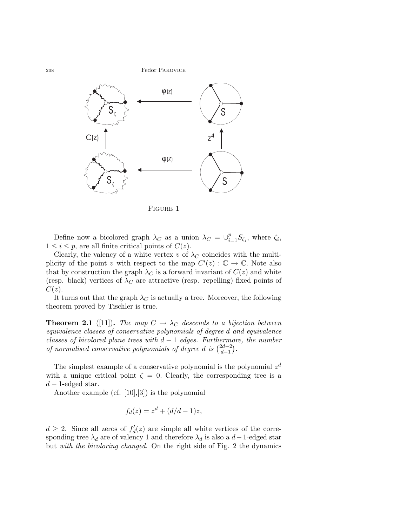

Figure 1

Define now a bicolored graph  $\lambda_C$  as a union  $\lambda_C = \bigcup_{i=1}^p S_{\zeta_i}$ , where  $\zeta_i$ ,  $1 \leq i \leq p$ , are all finite critical points of  $C(z)$ .

Clearly, the valency of a white vertex v of  $\lambda_C$  coincides with the multiplicity of the point v with respect to the map  $C'(z) : \mathbb{C} \to \mathbb{C}$ . Note also that by construction the graph  $\lambda_C$  is a forward invariant of  $C(z)$  and white (resp. black) vertices of  $\lambda_C$  are attractive (resp. repelling) fixed points of  $C(z)$ .

It turns out that the graph  $\lambda_C$  is actually a tree. Moreover, the following theorem proved by Tischler is true.

**Theorem 2.1** ([11]). The map  $C \rightarrow \lambda_C$  descends to a bijection between equivalence classes of conservative polynomials of degree d and equivalence classes of bicolored plane trees with  $d-1$  edges. Furthermore, the number of normalised conservative polynomials of degree d is  $\binom{2d-2}{d-1}$  $\binom{2d-2}{d-1}$ .

The simplest example of a conservative polynomial is the polynomial  $z<sup>d</sup>$ with a unique critical point  $\zeta = 0$ . Clearly, the corresponding tree is a  $d-1$ -edged star.

Another example (cf. [10],[3]) is the polynomial

$$
f_d(z) = z^d + (d/d - 1)z,
$$

 $d \geq 2$ . Since all zeros of  $f_d'(z)$  are simple all white vertices of the corresponding tree  $\lambda_d$  are of valency 1 and therefore  $\lambda_d$  is also a d - 1-edged star but with the bicoloring changed. On the right side of Fig. 2 the dynamics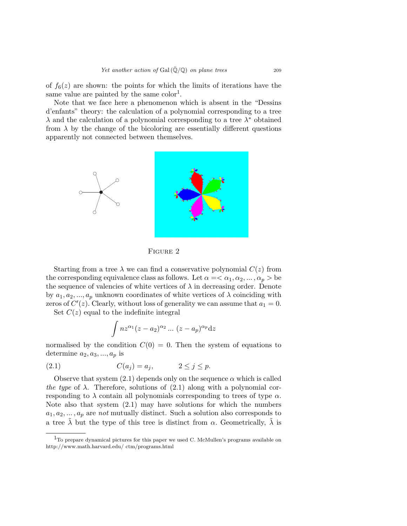of  $f_6(z)$  are shown: the points for which the limits of iterations have the same value are painted by the same  $color<sup>1</sup>$ .

Note that we face here a phenomenon which is absent in the "Dessins d'enfants" theory: the calculation of a polynomial corresponding to a tree  $\lambda$  and the calculation of a polynomial corresponding to a tree  $\lambda^*$  obtained from  $\lambda$  by the change of the bicoloring are essentially different questions apparently not connected between themselves.



Figure 2

Starting from a tree  $\lambda$  we can find a conservative polynomial  $C(z)$  from the corresponding equivalence class as follows. Let  $\alpha = \langle \alpha_1, \alpha_2, \dots, \alpha_n \rangle$  be the sequence of valencies of white vertices of  $\lambda$  in decreasing order. Denote by  $a_1, a_2, ..., a_p$  unknown coordinates of white vertices of  $\lambda$  coinciding with zeros of  $C'(z)$ . Clearly, without loss of generality we can assume that  $a_1 = 0$ .

Set  $C(z)$  equal to the indefinite integral

$$
\int nz^{\alpha_1}(z-a_2)^{\alpha_2}\dots (z-a_p)^{\alpha_p}dz
$$

normalised by the condition  $C(0) = 0$ . Then the system of equations to determine  $a_2, a_3, ..., a_p$  is

$$
(2.1) \tC(a_j) = a_j, \t2 \le j \le p.
$$

Observe that system  $(2.1)$  depends only on the sequence  $\alpha$  which is called the type of  $\lambda$ . Therefore, solutions of (2.1) along with a polynomial corresponding to  $\lambda$  contain all polynomials corresponding to trees of type  $\alpha$ . Note also that system (2.1) may have solutions for which the numbers  $a_1, a_2, \ldots, a_p$  are not mutually distinct. Such a solution also corresponds to a tree  $\tilde{\lambda}$  but the type of this tree is distinct from  $\alpha$ . Geometrically,  $\tilde{\lambda}$  is

 $1$ To prepare dynamical pictures for this paper we used C. McMullen's programs available on http://www.math.harvard.edu/ ctm/programs.html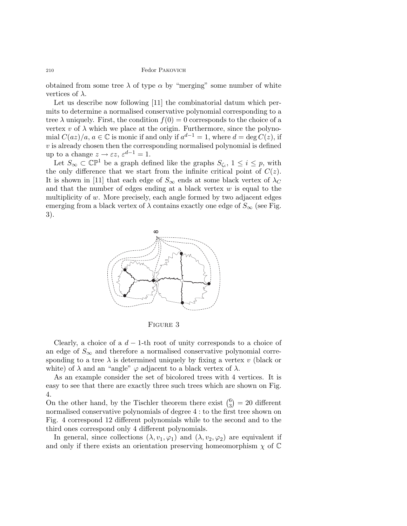obtained from some tree  $\lambda$  of type  $\alpha$  by "merging" some number of white vertices of  $\lambda$ .

Let us describe now following [11] the combinatorial datum which permits to determine a normalised conservative polynomial corresponding to a tree  $\lambda$  uniquely. First, the condition  $f(0) = 0$  corresponds to the choice of a vertex  $v$  of  $\lambda$  which we place at the origin. Furthermore, since the polynomial  $C(az)/a, a \in \mathbb{C}$  is monic if and only if  $a^{d-1} = 1$ , where  $d = \deg C(z)$ , if  $v$  is already chosen then the corresponding normalised polynomial is defined up to a change  $z \to \varepsilon z$ ,  $\varepsilon^{d-1} = 1$ .

Let  $S_{\infty} \subset \mathbb{CP}^1$  be a graph defined like the graphs  $S_{\zeta_i}$ ,  $1 \leq i \leq p$ , with the only difference that we start from the infinite critical point of  $C(z)$ . It is shown in [11] that each edge of  $S_{\infty}$  ends at some black vertex of  $\lambda_C$ and that the number of edges ending at a black vertex  $w$  is equal to the multiplicity of  $w$ . More precisely, each angle formed by two adjacent edges emerging from a black vertex of  $\lambda$  contains exactly one edge of  $S_{\infty}$  (see Fig. 3).



Figure 3

Clearly, a choice of a  $d-1$ -th root of unity corresponds to a choice of an edge of  $S_{\infty}$  and therefore a normalised conservative polynomial corresponding to a tree  $\lambda$  is determined uniquely by fixing a vertex v (black or white) of  $\lambda$  and an "angle"  $\varphi$  adjacent to a black vertex of  $\lambda$ .

As an example consider the set of bicolored trees with 4 vertices. It is easy to see that there are exactly three such trees which are shown on Fig. 4.

On the other hand, by the Tischler theorem there exist  $\binom{6}{3}$  $_{3}^{6}$ ) = 20 different normalised conservative polynomials of degree 4 : to the first tree shown on Fig. 4 correspond 12 different polynomials while to the second and to the third ones correspond only 4 different polynomials.

In general, since collections  $(\lambda, v_1, \varphi_1)$  and  $(\lambda, v_2, \varphi_2)$  are equivalent if and only if there exists an orientation preserving homeomorphism  $\chi$  of  $\mathbb C$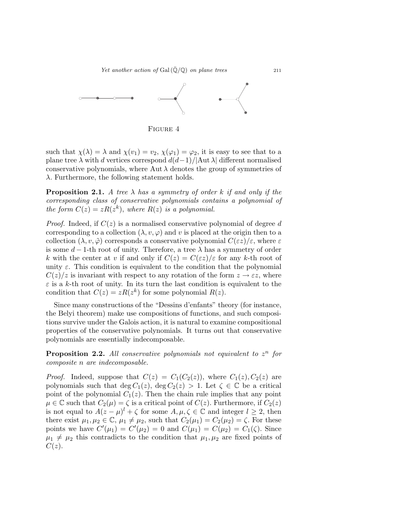Yet another action of Gal $(\bar{Q}/\mathbb{Q})$  on plane trees 211



Figure 4

such that  $\chi(\lambda) = \lambda$  and  $\chi(v_1) = v_2$ ,  $\chi(\varphi_1) = \varphi_2$ , it is easy to see that to a plane tree  $\lambda$  with d vertices correspond  $d(d-1)/|\text{Aut }\lambda|$  different normalised conservative polynomials, where Aut  $\lambda$  denotes the group of symmetries of  $\lambda$ . Furthermore, the following statement holds.

**Proposition 2.1.** A tree  $\lambda$  has a symmetry of order k if and only if the corresponding class of conservative polynomials contains a polynomial of the form  $C(z) = zR(z^k)$ , where  $R(z)$  is a polynomial.

*Proof.* Indeed, if  $C(z)$  is a normalised conservative polynomial of degree d corresponding to a collection  $(\lambda, v, \varphi)$  and v is placed at the origin then to a collection  $(\lambda, v, \tilde{\varphi})$  corresponds a conservative polynomial  $C(\varepsilon z)/\varepsilon$ , where  $\varepsilon$ is some  $d-1$ -th root of unity. Therefore, a tree  $\lambda$  has a symmetry of order k with the center at v if and only if  $C(z) = C(\epsilon z)/\epsilon$  for any k-th root of unity  $\varepsilon$ . This condition is equivalent to the condition that the polynomial  $C(z)/z$  is invariant with respect to any rotation of the form  $z \to \varepsilon z$ , where  $\varepsilon$  is a k-th root of unity. In its turn the last condition is equivalent to the condition that  $C(z) = zR(z^k)$  for some polynomial  $R(z)$ .

Since many constructions of the "Dessins d'enfants" theory (for instance, the Belyi theorem) make use compositions of functions, and such compositions survive under the Galois action, it is natural to examine compositional properties of the conservative polynomials. It turns out that conservative polynomials are essentially indecomposable.

**Proposition 2.2.** All conservative polynomials not equivalent to  $z^n$  for composite n are indecomposable.

*Proof.* Indeed, suppose that  $C(z) = C_1(C_2(z))$ , where  $C_1(z), C_2(z)$  are polynomials such that deg  $C_1(z)$ , deg  $C_2(z) > 1$ . Let  $\zeta \in \mathbb{C}$  be a critical point of the polynomial  $C_1(z)$ . Then the chain rule implies that any point  $\mu \in \mathbb{C}$  such that  $C_2(\mu) = \zeta$  is a critical point of  $C(z)$ . Furthermore, if  $C_2(z)$ is not equal to  $A(z - \mu)^l + \zeta$  for some  $A, \mu, \zeta \in \mathbb{C}$  and integer  $l \geq 2$ , then there exist  $\mu_1, \mu_2 \in \mathbb{C}, \mu_1 \neq \mu_2$ , such that  $C_2(\mu_1) = C_2(\mu_2) = \zeta$ . For these points we have  $C'(\mu_1) = C'(\mu_2) = 0$  and  $C(\mu_1) = C(\mu_2) = C_1(\zeta)$ . Since  $\mu_1 \neq \mu_2$  this contradicts to the condition that  $\mu_1, \mu_2$  are fixed points of  $C(z)$ .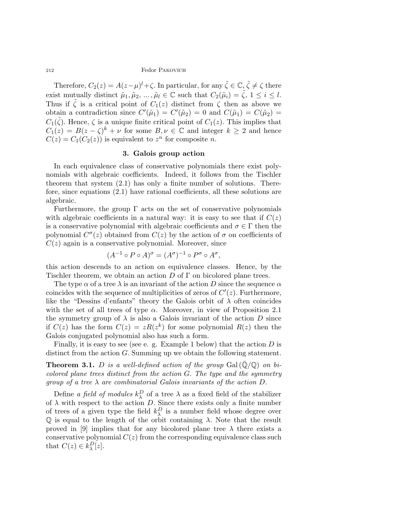Therefore,  $C_2(z) = A(z-\mu)^l + \zeta$ . In particular, for any  $\tilde{\zeta} \in \mathbb{C}$ ,  $\tilde{\zeta} \neq \zeta$  there exist mutually distinct  $\tilde{\mu}_1, \tilde{\mu}_2, ..., \tilde{\mu}_l \in \mathbb{C}$  such that  $C_2(\tilde{\mu}_i) = \tilde{\zeta}, 1 \leq i \leq l$ . Thus if  $\zeta$  is a critical point of  $C_1(z)$  distinct from  $\zeta$  then as above we obtain a contradiction since  $C'(\tilde{\mu}_1) = C'(\tilde{\mu}_2) = 0$  and  $C(\tilde{\mu}_1) = C(\tilde{\mu}_2) =$  $C_1(\tilde{\zeta})$ . Hence,  $\zeta$  is a unique finite critical point of  $C_1(z)$ . This implies that  $C_1(z) = B(z - \zeta)^k + \nu$  for some  $B, \nu \in \mathbb{C}$  and integer  $k \geq 2$  and hence  $C(z) = C_1(C_2(z))$  is equivalent to  $z^n$  for composite n.

# 3. Galois group action

In each equivalence class of conservative polynomials there exist polynomials with algebraic coefficients. Indeed, it follows from the Tischler theorem that system (2.1) has only a finite number of solutions. Therefore, since equations (2.1) have rational coefficients, all these solutions are algebraic.

Furthermore, the group  $\Gamma$  acts on the set of conservative polynomials with algebraic coefficients in a natural way: it is easy to see that if  $C(z)$ is a conservative polynomial with algebraic coefficients and  $\sigma \in \Gamma$  then the polynomial  $C^{\sigma}(z)$  obtained from  $C(z)$  by the action of  $\sigma$  on coefficients of  $C(z)$  again is a conservative polynomial. Moreover, since

$$
(A^{-1} \circ P \circ A)^{\sigma} = (A^{\sigma})^{-1} \circ P^{\sigma} \circ A^{\sigma},
$$

this action descends to an action on equivalence classes. Hence, by the Tischler theorem, we obtain an action  $D$  of  $\Gamma$  on bicolored plane trees.

The type  $\alpha$  of a tree  $\lambda$  is an invariant of the action D since the sequence  $\alpha$ coincides with the sequence of multiplicities of zeros of  $C'(z)$ . Furthermore, like the "Dessins d'enfants" theory the Galois orbit of  $\lambda$  often coincides with the set of all trees of type  $\alpha$ . Moreover, in view of Proposition 2.1 the symmetry group of  $\lambda$  is also a Galois invariant of the action D since if  $C(z)$  has the form  $C(z) = zR(z^k)$  for some polynomial  $R(z)$  then the Galois conjugated polynomial also has such a form.

Finally, it is easy to see (see e. g. Example 1 below) that the action  $D$  is distinct from the action G. Summing up we obtain the following statement.

**Theorem 3.1.** D is a well-defined action of the group Gal  $(\bar{Q}/Q)$  on bicolored plane trees distinct from the action G. The type and the symmetry group of a tree  $\lambda$  are combinatorial Galois invariants of the action D.

Define *a field of modules*  $k_{\lambda}^{D}$  of a tree  $\lambda$  as a fixed field of the stabilizer of  $\lambda$  with respect to the action D. Since there exists only a finite number of trees of a given type the field  $k_{\lambda}^{D}$  is a number field whose degree over  $\mathbb Q$  is equal to the length of the orbit containing  $\lambda$ . Note that the result proved in [9] implies that for any bicolored plane tree  $\lambda$  there exists a conservative polynomial  $C(z)$  from the corresponding equivalence class such that  $C(z) \in k_{\lambda}^{D}[z]$ .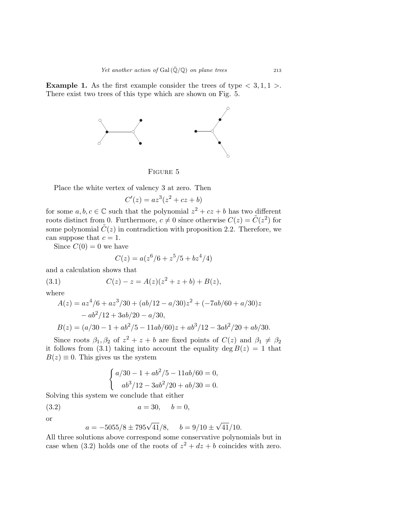**Example 1.** As the first example consider the trees of type  $\langle 3,1,1 \rangle$ . There exist two trees of this type which are shown on Fig. 5.



Figure 5

Place the white vertex of valency 3 at zero. Then

$$
C'(z) = az^3(z^2 + cz + b)
$$

for some  $a, b, c \in \mathbb{C}$  such that the polynomial  $z^2 + cz + b$  has two different roots distinct from 0. Furthermore,  $c \neq 0$  since otherwise  $C(z) = \tilde{C}(z^2)$  for some polynomial  $\tilde{C}(z)$  in contradiction with proposition 2.2. Therefore, we can suppose that  $c = 1$ .

Since  $C(0) = 0$  we have

$$
C(z) = a(z^6/6 + z^5/5 + bz^4/4)
$$

and a calculation shows that

(3.1) 
$$
C(z) - z = A(z)(z^2 + z + b) + B(z),
$$

where

$$
A(z) = az4/6 + az3/30 + (ab/12 - a/30)z2 + (-7ab/60 + a/30)z
$$
  
- ab<sup>2</sup>/12 + 3ab/20 - a/30,  

$$
B(z) = (a/30 - 1 + ab2/5 - 11ab/60)z + ab3/12 - 3ab2/20 + ab/30.
$$

Since roots  $\beta_1, \beta_2$  of  $z^2 + z + b$  are fixed points of  $C(z)$  and  $\beta_1 \neq \beta_2$ it follows from (3.1) taking into account the equality deg  $B(z) = 1$  that  $B(z) \equiv 0$ . This gives us the system

$$
\begin{cases}\n a/30 - 1 + ab^2/5 - 11ab/60 = 0, \\
ab^3/12 - 3ab^2/20 + ab/30 = 0.\n\end{cases}
$$

Solving this system we conclude that either

(3.2) 
$$
a = 30, \quad b = 0,
$$

or

$$
a = -5055/8 \pm 795\sqrt{41}/8
$$
,  $b = 9/10 \pm \sqrt{41}/10$ .

All three solutions above correspond some conservative polynomials but in case when (3.2) holds one of the roots of  $z^2 + dz + b$  coincides with zero.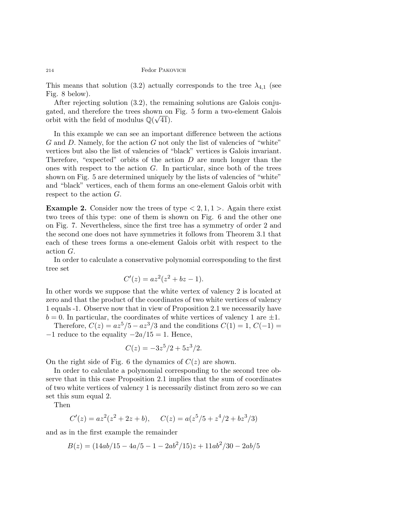This means that solution (3.2) actually corresponds to the tree  $\lambda_{4,1}$  (see Fig. 8 below).

After rejecting solution (3.2), the remaining solutions are Galois conjugated, and therefore the trees shown on Fig. 5 form a two-element Galois orbit with the field of modulus  $\mathbb{Q}(\sqrt{41})$ .

In this example we can see an important difference between the actions  $G$  and  $D$ . Namely, for the action  $G$  not only the list of valencies of "white" vertices but also the list of valencies of "black" vertices is Galois invariant. Therefore, "expected" orbits of the action  $D$  are much longer than the ones with respect to the action  $G$ . In particular, since both of the trees shown on Fig. 5 are determined uniquely by the lists of valencies of "white" and "black" vertices, each of them forms an one-element Galois orbit with respect to the action G.

**Example 2.** Consider now the trees of type  $\lt 2, 1, 1$ . Again there exist two trees of this type: one of them is shown on Fig. 6 and the other one on Fig. 7. Nevertheless, since the first tree has a symmetry of order 2 and the second one does not have symmetries it follows from Theorem 3.1 that each of these trees forms a one-element Galois orbit with respect to the action G.

In order to calculate a conservative polynomial corresponding to the first tree set

$$
C'(z) = az^2(z^2 + bz - 1).
$$

In other words we suppose that the white vertex of valency 2 is located at zero and that the product of the coordinates of two white vertices of valency 1 equals -1. Observe now that in view of Proposition 2.1 we necessarily have  $b = 0$ . In particular, the coordinates of white vertices of valency 1 are  $\pm 1$ .

Therefore,  $C(z) = az^5/5 - az^3/3$  and the conditions  $C(1) = 1, C(-1) = 1$  $-1$  reduce to the equality  $-2a/15 = 1$ . Hence,

$$
C(z) = -3z^5/2 + 5z^3/2.
$$

On the right side of Fig. 6 the dynamics of  $C(z)$  are shown.

In order to calculate a polynomial corresponding to the second tree observe that in this case Proposition 2.1 implies that the sum of coordinates of two white vertices of valency 1 is necessarily distinct from zero so we can set this sum equal 2.

Then

$$
C'(z) = az^2(z^2 + 2z + b), \quad C(z) = a(z^5/5 + z^4/2 + bz^3/3)
$$

and as in the first example the remainder

$$
B(z) = (14ab/15 - 4a/5 - 1 - 2ab^2/15)z + 11ab^2/30 - 2ab/5
$$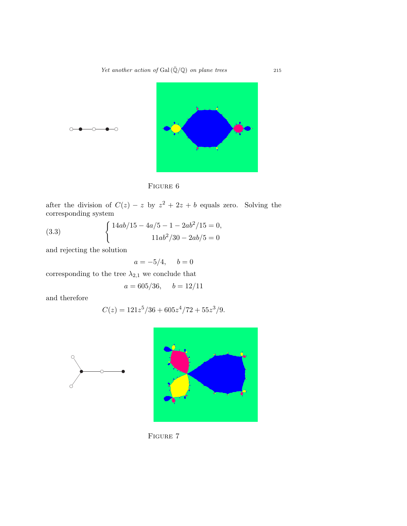Yet another action of Gal $(\overline{\mathbb{Q}}/\mathbb{Q})$  on plane trees 215





after the division of  $C(z) - z$  by  $z^2 + 2z + b$  equals zero. Solving the corresponding system

(3.3) 
$$
\begin{cases} 14ab/15 - 4a/5 - 1 - 2ab^2/15 = 0, \\ 11ab^2/30 - 2ab/5 = 0 \end{cases}
$$

and rejecting the solution

$$
a = -5/4, \quad b = 0
$$

corresponding to the tree  $\lambda_{2,1}$  we conclude that

$$
a = 605/36
$$
,  $b = 12/11$ 

and therefore

 $\bigcirc$ 

 $\curvearrowright$ 

 $\bigcirc$ 

$$
C(z) = 121z^5/36 + 605z^4/72 + 55z^3/9.
$$





FIGURE 7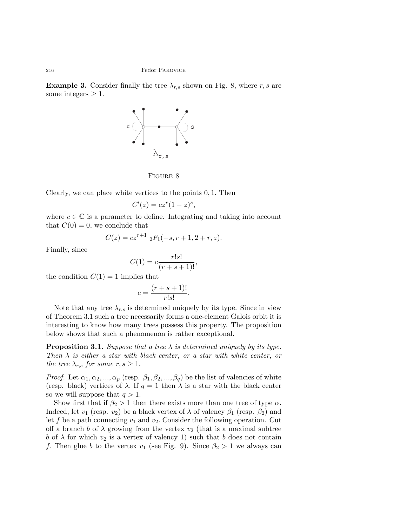**Example 3.** Consider finally the tree  $\lambda_{r,s}$  shown on Fig. 8, where r, s are some integers  $\geq 1$ .



Figure 8

Clearly, we can place white vertices to the points 0, 1. Then

$$
C'(z) = cz^r(1-z)^s,
$$

where  $c \in \mathbb{C}$  is a parameter to define. Integrating and taking into account that  $C(0) = 0$ , we conclude that

$$
C(z) = cz^{r+1} \, _2F_1(-s, r+1, 2+r, z).
$$

Finally, since

$$
C(1) = c \frac{r!s!}{(r+s+1)!},
$$

the condition  $C(1) = 1$  implies that

$$
c = \frac{(r+s+1)!}{r!s!}.
$$

Note that any tree  $\lambda_{r,s}$  is determined uniquely by its type. Since in view of Theorem 3.1 such a tree necessarily forms a one-element Galois orbit it is interesting to know how many trees possess this property. The proposition below shows that such a phenomenon is rather exceptional.

**Proposition 3.1.** Suppose that a tree  $\lambda$  is determined uniquely by its type. Then  $\lambda$  is either a star with black center, or a star with white center, or the tree  $\lambda_{r,s}$  for some  $r, s \geq 1$ .

*Proof.* Let  $\alpha_1, \alpha_2, ..., \alpha_p$  (resp.  $\beta_1, \beta_2, ..., \beta_q$ ) be the list of valencies of white (resp. black) vertices of  $\lambda$ . If  $q = 1$  then  $\lambda$  is a star with the black center so we will suppose that  $q > 1$ .

Show first that if  $\beta_2 > 1$  then there exists more than one tree of type  $\alpha$ . Indeed, let  $v_1$  (resp.  $v_2$ ) be a black vertex of  $\lambda$  of valency  $\beta_1$  (resp.  $\beta_2$ ) and let f be a path connecting  $v_1$  and  $v_2$ . Consider the following operation. Cut off a branch b of  $\lambda$  growing from the vertex  $v_2$  (that is a maximal subtree b of  $\lambda$  for which  $v_2$  is a vertex of valency 1) such that b does not contain f. Then glue b to the vertex  $v_1$  (see Fig. 9). Since  $\beta_2 > 1$  we always can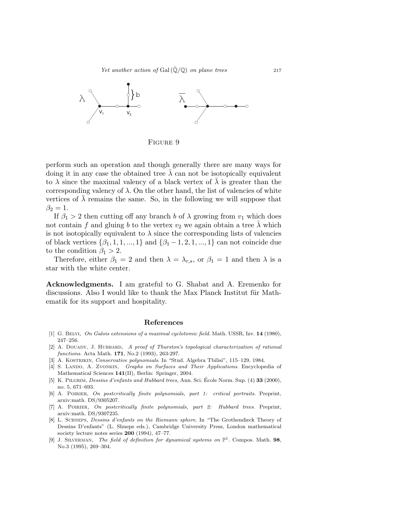Yet another action of Gal $(\bar{Q}/\mathbb{Q})$  on plane trees 217



Figure 9

perform such an operation and though generally there are many ways for doing it in any case the obtained tree  $\lambda$  can not be isotopically equivalent to  $\lambda$  since the maximal valency of a black vertex of  $\overline{\lambda}$  is greater than the corresponding valency of  $\lambda$ . On the other hand, the list of valencies of white vertices of  $\lambda$  remains the same. So, in the following we will suppose that  $\beta_2=1.$ 

If  $\beta_1 > 2$  then cutting off any branch b of  $\lambda$  growing from  $v_1$  which does not contain f and gluing b to the vertex  $v_2$  we again obtain a tree  $\lambda$  which is not isotopically equivalent to  $\lambda$  since the corresponding lists of valencies of black vertices  $\{\beta_1, 1, 1, ..., 1\}$  and  $\{\beta_1 - 1, 2, 1, ..., 1\}$  can not coincide due to the condition  $\beta_1 > 2$ .

Therefore, either  $\beta_1 = 2$  and then  $\lambda = \lambda_{r,s}$ , or  $\beta_1 = 1$  and then  $\lambda$  is a star with the white center.

Acknowledgments. I am grateful to G. Shabat and A. Eremenko for discussions. Also I would like to thank the Max Planck Institut für Mathematik for its support and hospitality.

#### References

- [1] G. BELYI, On Galois extensions of a maximal cyclotomic field. Math. USSR, Izv. 14 (1980), 247–256.
- [2] A. DOUADY, J. HUBBARD, A proof of Thurston's topological characterization of rational functions. Acta Math. 171, No.2 (1993), 263-297.
- [3] A. KOSTRIKIN, Conservative polynomials. In "Stud. Algebra Tbilisi", 115-129, 1984.
- [4] S. LANDO, A. ZVONKIN, Graphs on Surfaces and Their Applications. Encyclopedia of Mathematical Sciences 141(II), Berlin: Springer, 2004.
- [5] K. PILGRIM, Dessins d'enfants and Hubbard trees, Ann. Sci. École Norm. Sup. (4) 33 (2000), no. 5, 671–693.
- [6] A. POIRIER, On postcritically finite polynomials, part 1: critical portraits. Preprint, arxiv:math. DS/9305207.
- [7] A. POIRIER, On postcritically finite polynomials, part 2: Hubbard trees. Preprint, arxiv:math. DS/9307235.
- [8] L. Schneps, Dessins d'enfants on the Riemann sphere. In "The Grothendieck Theory of Dessins D'enfants" (L. Shneps eds.), Cambridge University Press, London mathematical society lecture notes series 200 (1994), 47–77.
- [9] J. SILVERMAN, The field of definition for dynamical systems on  $\mathbb{P}^1$ . Compos. Math. 98, No.3 (1995), 269–304.